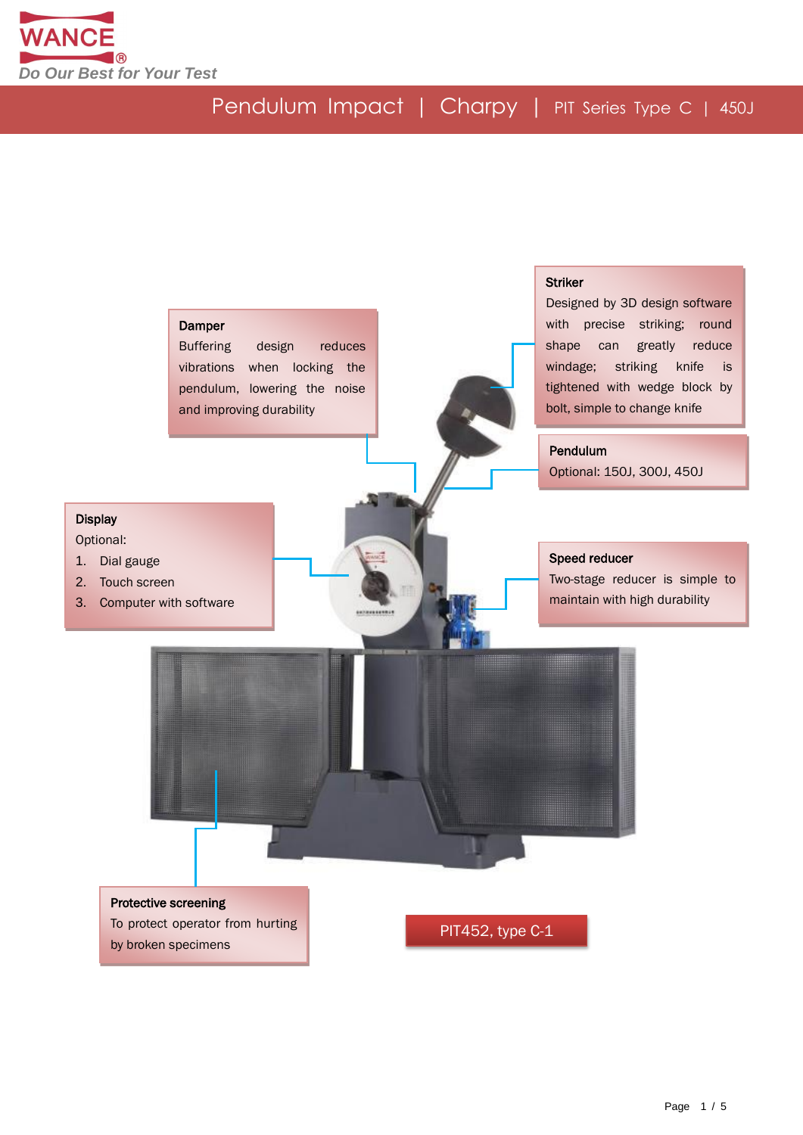

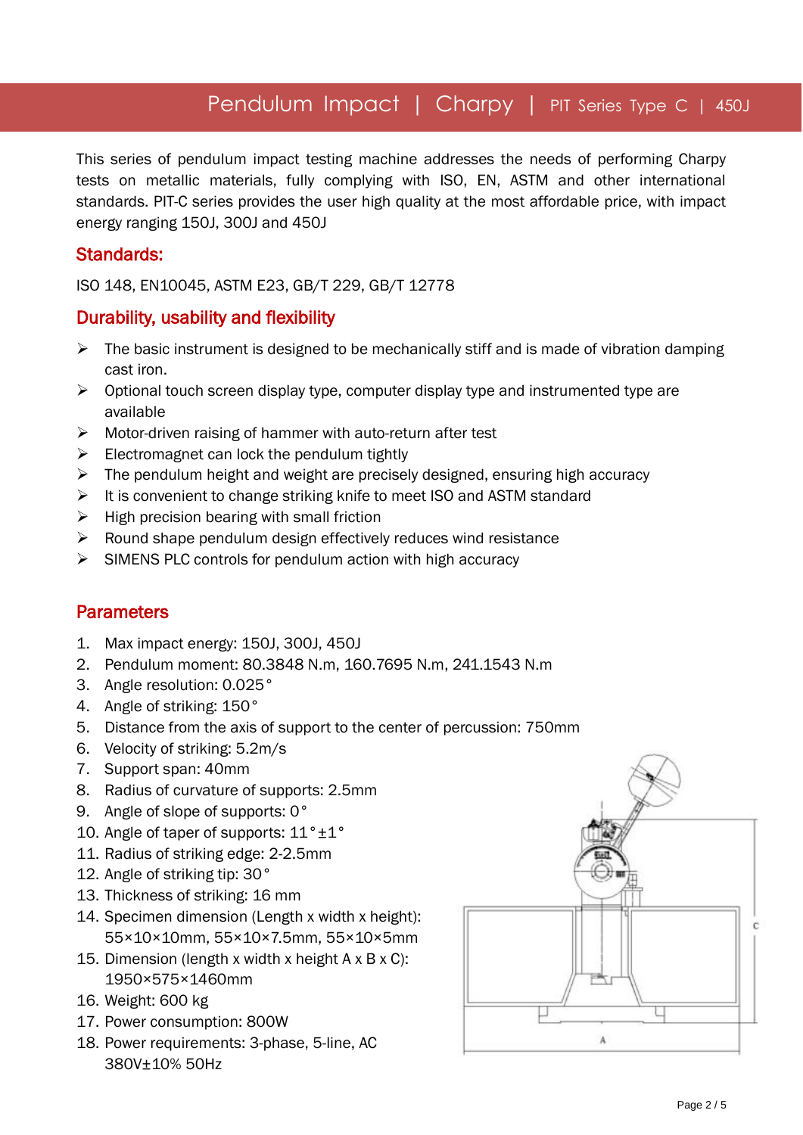# Pendulum Impact | Charpy | PIT Series Type C | 450J

This series of pendulum impact testing machine addresses the needs of performing Charpy tests on metallic materials, fully complying with ISO, EN, ASTM and other international standards. PIT-C series provides the user high quality at the most affordable price, with impact energy ranging 150J, 300J and 450J

#### Standards:

ISO 148, EN10045, ASTM E23, GB/T 229, GB/T 12778

#### Durability, usability and flexibility

- $\triangleright$  The basic instrument is designed to be mechanically stiff and is made of vibration damping cast iron.
- $\triangleright$  Optional touch screen display type, computer display type and instrumented type are available
- Motor-driven raising of hammer with auto-return after test
- $\triangleright$  Electromagnet can lock the pendulum tightly
- $\triangleright$  The pendulum height and weight are precisely designed, ensuring high accuracy
- $\triangleright$  It is convenient to change striking knife to meet ISO and ASTM standard
- $\triangleright$  High precision bearing with small friction
- $\triangleright$  Round shape pendulum design effectively reduces wind resistance
- $\triangleright$  SIMENS PLC controls for pendulum action with high accuracy

#### **Parameters**

- 1. Max impact energy: 150J, 300J, 450J
- 2. Pendulum moment: 80.3848 N.m, 160.7695 N.m, 241.1543 N.m
- 3. Angle resolution: 0.025°
- 4. Angle of striking: 150°
- 5. Distance from the axis of support to the center of percussion: 750mm
- 6. Velocity of striking: 5.2m/s
- 7. Support span: 40mm
- 8. Radius of curvature of supports: 2.5mm
- 9. Angle of slope of supports: 0°
- 10. Angle of taper of supports:  $11^{\circ} \pm 1^{\circ}$
- 11. Radius of striking edge: 2-2.5mm
- 12. Angle of striking tip: 30°
- 13. Thickness of striking: 16 mm
- 14. Specimen dimension (Length x width x height): 55×10×10mm, 55×10×7.5mm, 55×10×5mm
- 15. Dimension (length x width x height A x B x C): 1950×575×1460mm
- 16. Weight: 600 kg
- 17. Power consumption: 800W
- 18. Power requirements: 3-phase, 5-line, AC 380V±10% 50Hz

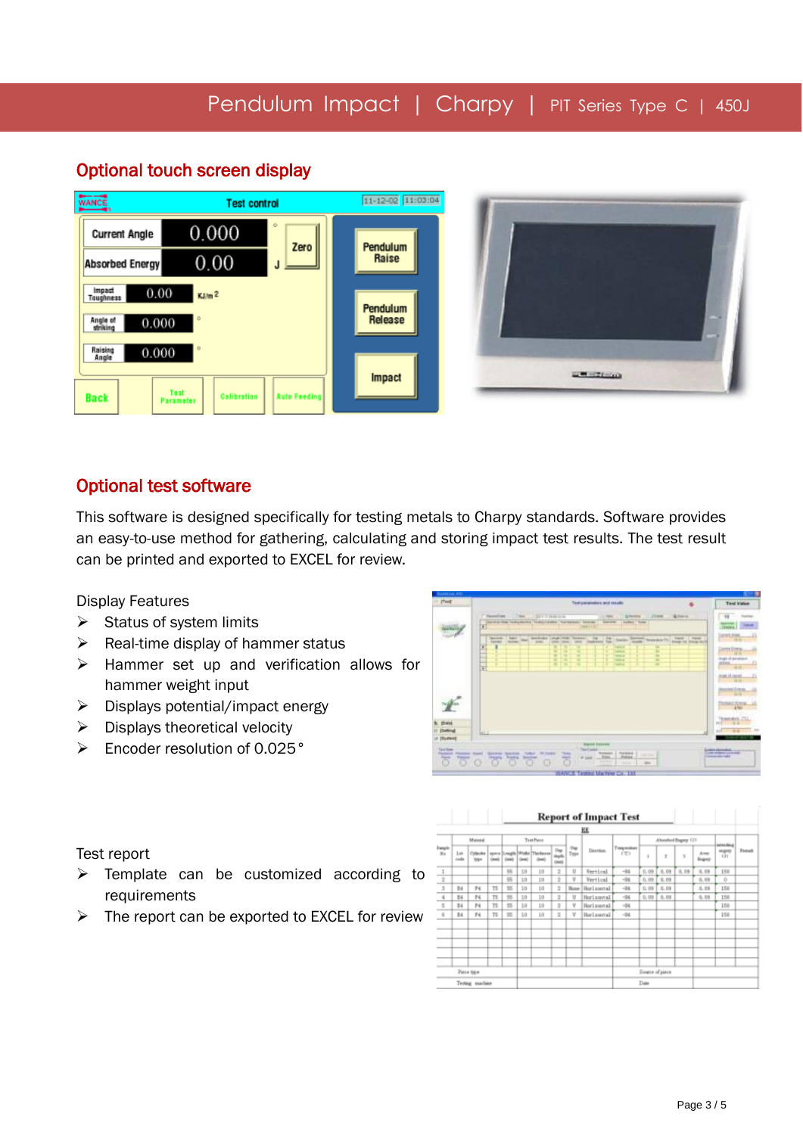#### 11-12-02 11:03:04 WANCE **Test control**  $0.000$ **Current Angle** Zero Pendulum 0.00 Raise **Absorbed Energy** Impact<br>Toughness  $0.00$  $KJ/m<sup>2</sup>$ Pendulum Angle of<br>striking 0.000 Release Raising<br>Angle 0.000 **CONTRACTOR** Impact Test<br>Parameter **Auto Feeding Back** Calibration

### Optional touch screen display

Ī

#### Optional test software

This software is designed specifically for testing metals to Charpy standards. Software provides an easy-to-use method for gathering, calculating and storing impact test results. The test result can be printed and exported to EXCEL for review.

Display Features

- $\triangleright$  Status of system limits
- $\triangleright$  Real-time display of hammer status
- $\triangleright$  Hammer set up and verification allows for hammer weight input
- $\triangleright$  Displays potential/impact energy
- $\triangleright$  Displays theoretical velocity
- Encoder resolution of 0.025°



Test report

- $\triangleright$  Template can be customized according to requirements
- $\triangleright$  The report can be exported to EXCEL for review

|                                                                           |             |                   |      |            |        |                                             |                   |             | <b>Report of Impact Test</b> |                    |                 |      |                        |                        |            |        |
|---------------------------------------------------------------------------|-------------|-------------------|------|------------|--------|---------------------------------------------|-------------------|-------------|------------------------------|--------------------|-----------------|------|------------------------|------------------------|------------|--------|
|                                                                           |             |                   |      |            |        |                                             |                   |             | EE                           |                    |                 |      |                        |                        |            |        |
| <b>Supple</b><br>35                                                       | Material    |                   |      | Test Piace |        |                                             |                   |             |                              | Abouted Bagery (2) |                 |      | istending <sup>*</sup> |                        |            |        |
|                                                                           | Lot<br>sude | Collestor<br>low  | Owni | OMB        | Onatic | spers Length Woks Thickness<br><b>Grand</b> | on<br>aya<br>(mm) | Our<br>Type | Direction.                   | Traspendure<br>CU) | I.              | z    | 3                      | <b>Arres</b><br>lingwy | mpay<br>CD | Expand |
|                                                                           |             |                   |      | 96         | 10     | 10                                          | $\overline{z}$    | U           | <b>Vertical</b>              | $-04$              | 0,09            | 0,09 | 0,09                   | 0,09                   | 150        |        |
| $\mathbf{z}$                                                              |             |                   |      | 95         | 10     | 10                                          | ż                 | ٧           | <b>Vertical</b>              | $-04$              | 0,09            | 0.09 |                        | 0,09                   | Ů          |        |
| $\mathfrak{I}% _{T_{0}}^{(n)}(\theta)=\mathfrak{I}_{T_{0}}^{(n)}(\theta)$ | B4          | N                 | TE.  | 55         | 10     | 10                                          | 2                 | None        | Horizontal                   | $-04$              | 0.09            | 0.09 |                        | 0.09                   | 150        |        |
| $\bar{q}$                                                                 | 34          | F4                | TS   | 55         | 10     | 10                                          | ż                 | U           | Horizontal                   | $-04$              | 0,09            | 0.09 |                        | 0,09                   | 150        |        |
| $\overline{5}$                                                            | E4          | F4                | TS   | 55         | 1/3    | 10                                          | 2                 | V           | Horizontal                   | $-04$              |                 |      |                        |                        | 150        |        |
| $\leq$                                                                    | E4          | 74                | TS   | 55         | 10     | 10                                          | 2                 | V           | Horizontal                   | $-04$              |                 |      |                        |                        | 150        |        |
|                                                                           |             |                   |      |            |        |                                             |                   |             |                              |                    |                 |      |                        |                        |            |        |
|                                                                           |             |                   |      |            |        |                                             |                   |             |                              |                    |                 |      |                        |                        |            |        |
|                                                                           |             | <b>Piece type</b> |      |            |        |                                             |                   |             |                              |                    | Source of piece |      |                        |                        |            |        |
| Testing machine                                                           |             |                   |      |            |        |                                             | Date              |             |                              |                    |                 |      |                        |                        |            |        |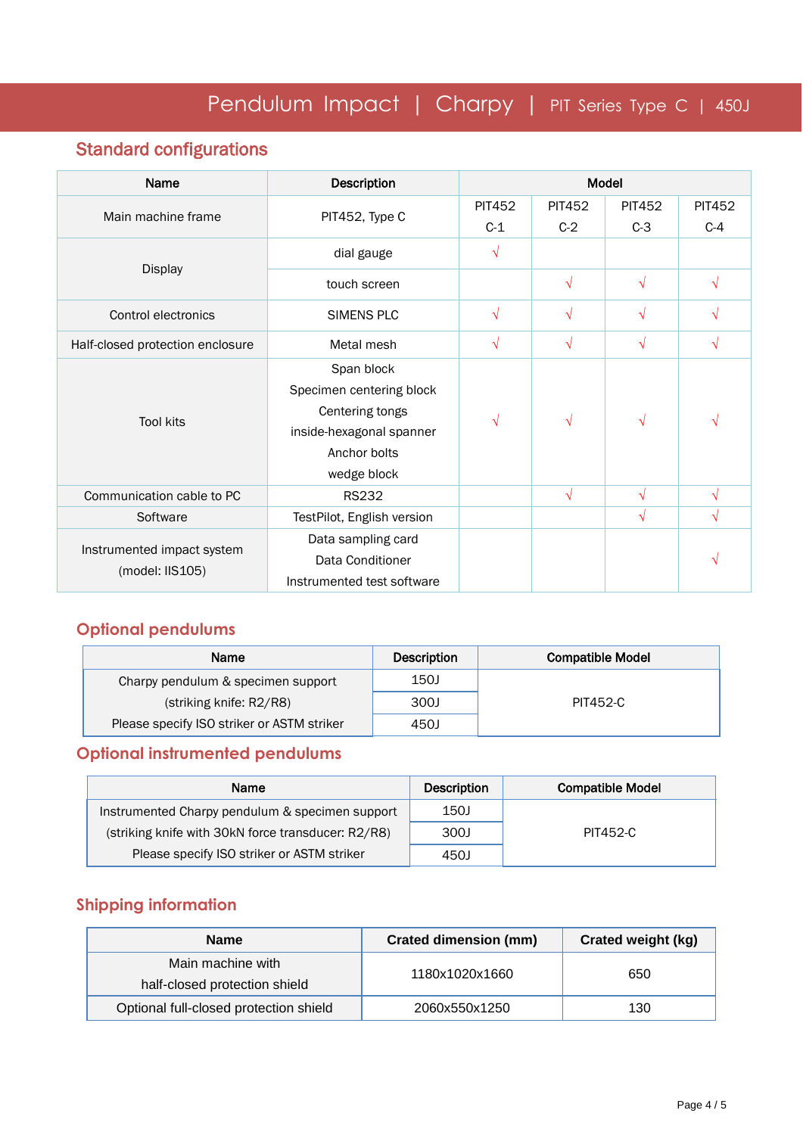## Standard configurations

| Name                                          | Description                | Model         |               |               |               |  |
|-----------------------------------------------|----------------------------|---------------|---------------|---------------|---------------|--|
| Main machine frame                            | PIT452, Type C             | <b>PIT452</b> | <b>PIT452</b> | <b>PIT452</b> | <b>PIT452</b> |  |
|                                               |                            | $C-1$         | $C-2$         | $C-3$         | $C-4$         |  |
|                                               | dial gauge                 | $\sqrt{}$     |               |               |               |  |
| <b>Display</b>                                | touch screen               |               | $\sqrt{}$     | $\sqrt{}$     | $\sqrt{}$     |  |
| Control electronics                           | SIMENS PLC                 | $\sqrt{}$     | $\sqrt{ }$    | $\sqrt{}$     | $\sqrt{}$     |  |
| Half-closed protection enclosure              | Metal mesh                 | √             | $\sqrt{}$     | $\sqrt{ }$    | V             |  |
|                                               | Span block                 |               | V             | √             | $\sqrt{ }$    |  |
|                                               | Specimen centering block   |               |               |               |               |  |
| <b>Tool kits</b>                              | Centering tongs            | √             |               |               |               |  |
|                                               | inside-hexagonal spanner   |               |               |               |               |  |
|                                               | Anchor bolts               |               |               |               |               |  |
|                                               | wedge block                |               |               |               |               |  |
| Communication cable to PC                     | <b>RS232</b>               |               | $\sqrt{2}$    | $\sqrt{}$     | N             |  |
| Software                                      | TestPilot, English version |               |               | $\sqrt{}$     | $\sqrt{}$     |  |
|                                               | Data sampling card         |               |               |               |               |  |
| Instrumented impact system<br>(model: IIS105) | Data Conditioner           |               |               |               |               |  |
|                                               | Instrumented test software |               |               |               |               |  |

### **Optional pendulums**

| Name                                       | <b>Description</b> | <b>Compatible Model</b> |
|--------------------------------------------|--------------------|-------------------------|
| Charpy pendulum & specimen support         | 150J               |                         |
| (striking knife: R2/R8)                    | 300J               | PIT452-C                |
| Please specify ISO striker or ASTM striker | 450J               |                         |

### **Optional instrumented pendulums**

| Name                                               | <b>Description</b> | <b>Compatible Model</b> |
|----------------------------------------------------|--------------------|-------------------------|
| Instrumented Charpy pendulum & specimen support    | 150J               |                         |
| (striking knife with 30kN force transducer: R2/R8) | 300J               | <b>PIT452-C</b>         |
| Please specify ISO striker or ASTM striker         | 450J               |                         |

#### **Shipping information**

| <b>Name</b>                            | <b>Crated dimension (mm)</b> | <b>Crated weight (kg)</b> |  |  |
|----------------------------------------|------------------------------|---------------------------|--|--|
| Main machine with                      | 1180x1020x1660               | 650                       |  |  |
| half-closed protection shield          |                              |                           |  |  |
| Optional full-closed protection shield | 2060x550x1250                | 130                       |  |  |